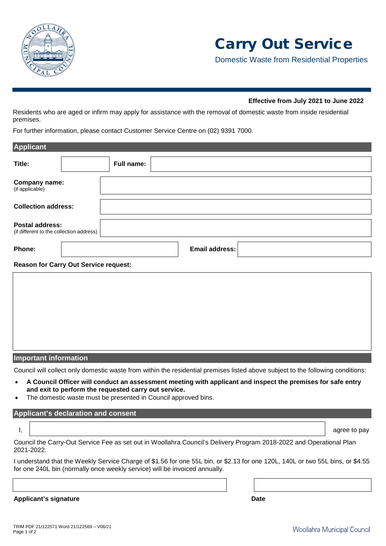

Domestic Waste from Residential Properties

### **Effective from July 2021 to June 2022**

Residents who are aged or infirm may apply for assistance with the removal of domestic waste from inside residential premises.

For further information, please contact Customer Service Centre on (02) 9391 7000.

| <b>Applicant</b>                 |                                              |            |                |  |  |
|----------------------------------|----------------------------------------------|------------|----------------|--|--|
| Title:                           |                                              | Full name: |                |  |  |
| Company name:<br>(if applicable) |                                              |            |                |  |  |
| <b>Collection address:</b>       |                                              |            |                |  |  |
| <b>Postal address:</b>           | (if different to the collection address)     |            |                |  |  |
| Phone:                           |                                              |            | Email address: |  |  |
|                                  | <b>Reason for Carry Out Service request:</b> |            |                |  |  |
|                                  |                                              |            |                |  |  |
|                                  |                                              |            |                |  |  |
|                                  |                                              |            |                |  |  |
|                                  |                                              |            |                |  |  |

**Important information**

Council will collect only domestic waste from within the residential premises listed above subject to the following conditions:

- **A Council Officer will conduct an assessment meeting with applicant and inspect the premises for safe entry and exit to perform the requested carry out service.**
- The domestic waste must be presented in Council approved bins.

#### **Applicant's declaration and consent**

I, definition of the contract of the contract of the contract of the contract of the contract of the contract of the contract of the contract of the contract of the contract of the contract of the contract of the contract

Council the Carry-Out Service Fee as set out in Woollahra Council's Delivery Program 2018-2022 and Operational Plan 2021-2022.

I understand that the Weekly Service Charge of \$1.56 for one 55L bin, or \$2.13 for one 120L, 140L or two 55L bins, or \$4.55 for one 240L bin (normally once weekly service) will be invoiced annually.

**Applicant's signature Date**